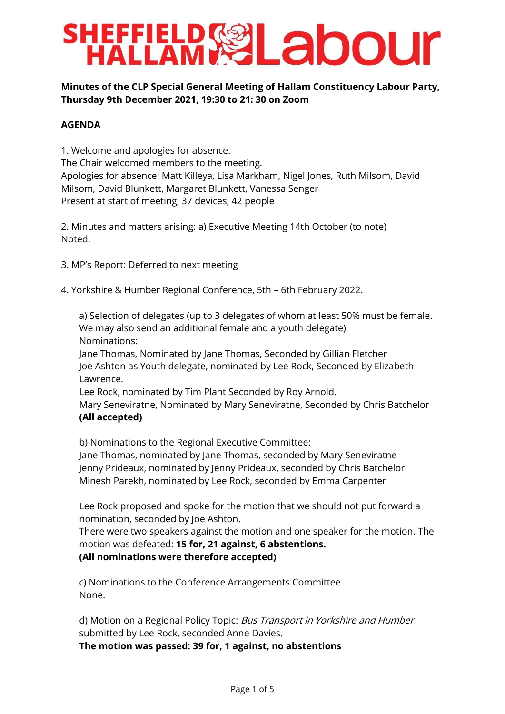# **SHEFFIELD SEL abour**

# **Minutes of the CLP Special General Meeting of Hallam Constituency Labour Party, Thursday 9th December 2021, 19:30 to 21: 30 on Zoom**

# **AGENDA**

1. Welcome and apologies for absence. The Chair welcomed members to the meeting. Apologies for absence: Matt Killeya, Lisa Markham, Nigel Jones, Ruth Milsom, David Milsom, David Blunkett, Margaret Blunkett, Vanessa Senger Present at start of meeting, 37 devices, 42 people

2. Minutes and matters arising: a) Executive Meeting 14th October (to note) Noted.

- 3. MP's Report: Deferred to next meeting
- 4. Yorkshire & Humber Regional Conference, 5th 6th February 2022.

a) Selection of delegates (up to 3 delegates of whom at least 50% must be female. We may also send an additional female and a youth delegate). Nominations:

Jane Thomas, Nominated by Jane Thomas, Seconded by Gillian Fletcher Joe Ashton as Youth delegate, nominated by Lee Rock, Seconded by Elizabeth Lawrence.

Lee Rock, nominated by Tim Plant Seconded by Roy Arnold.

Mary Seneviratne, Nominated by Mary Seneviratne, Seconded by Chris Batchelor **(All accepted)**

b) Nominations to the Regional Executive Committee:

Jane Thomas, nominated by Jane Thomas, seconded by Mary Seneviratne Jenny Prideaux, nominated by Jenny Prideaux, seconded by Chris Batchelor Minesh Parekh, nominated by Lee Rock, seconded by Emma Carpenter

Lee Rock proposed and spoke for the motion that we should not put forward a nomination, seconded by Joe Ashton.

There were two speakers against the motion and one speaker for the motion. The motion was defeated: **15 for, 21 against, 6 abstentions. (All nominations were therefore accepted)**

c) Nominations to the Conference Arrangements Committee None.

d) Motion on a Regional Policy Topic: Bus Transport in Yorkshire and Humber submitted by Lee Rock, seconded Anne Davies.

**The motion was passed: 39 for, 1 against, no abstentions**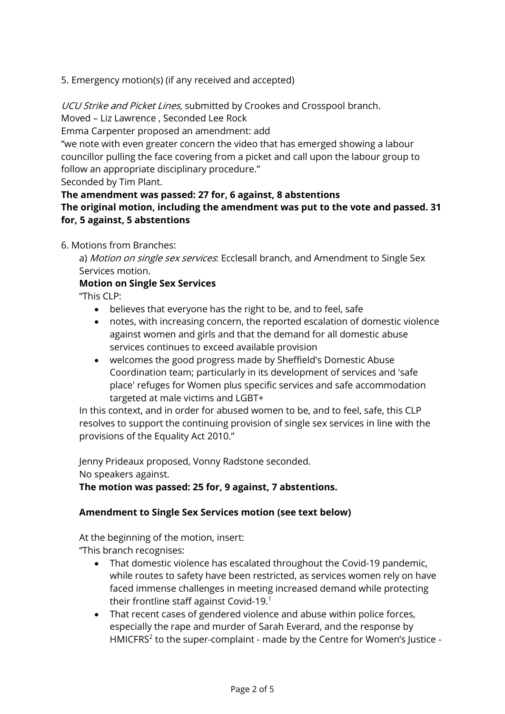5. Emergency motion(s) (if any received and accepted)

UCU Strike and Picket Lines, submitted by Crookes and Crosspool branch.

Moved – Liz Lawrence , Seconded Lee Rock

Emma Carpenter proposed an amendment: add

"we note with even greater concern the video that has emerged showing a labour councillor pulling the face covering from a picket and call upon the labour group to follow an appropriate disciplinary procedure."

Seconded by Tim Plant.

**The amendment was passed: 27 for, 6 against, 8 abstentions**

**The original motion, including the amendment was put to the vote and passed. 31 for, 5 against, 5 abstentions**

6. Motions from Branches:

a) Motion on single sex services. Ecclesall branch, and Amendment to Single Sex Services motion.

## **Motion on Single Sex Services**

"This CLP:

- believes that everyone has the right to be, and to feel, safe
- notes, with increasing concern, the reported escalation of domestic violence against women and girls and that the demand for all domestic abuse services continues to exceed available provision
- welcomes the good progress made by Sheffield's Domestic Abuse Coordination team; particularly in its development of services and 'safe place' refuges for Women plus specific services and safe accommodation targeted at male victims and LGBT+

In this context, and in order for abused women to be, and to feel, safe, this CLP resolves to support the continuing provision of single sex services in line with the provisions of the Equality Act 2010."

Jenny Prideaux proposed, Vonny Radstone seconded. No speakers against.

**The motion was passed: 25 for, 9 against, 7 abstentions.**

# **Amendment to Single Sex Services motion (see text below)**

At the beginning of the motion, insert: "This branch recognises:

- That domestic violence has escalated throughout the Covid-19 pandemic, while routes to safety have been restricted, as services women rely on have faced immense challenges in meeting increased demand while protecting their frontline staff against Covid-19.<sup>1</sup>
- That recent cases of gendered violence and abuse within police forces, especially the rape and murder of Sarah Everard, and the response by HMICFRS<sup>2</sup> to the super-complaint - made by the Centre for Women's Justice -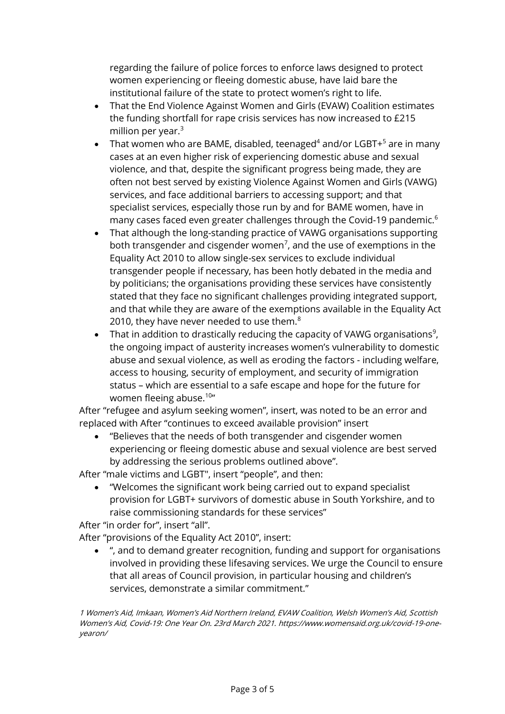regarding the failure of police forces to enforce laws designed to protect women experiencing or fleeing domestic abuse, have laid bare the institutional failure of the state to protect women's right to life.

- That the End Violence Against Women and Girls (EVAW) Coalition estimates the funding shortfall for rape crisis services has now increased to £215 million per year. $3$
- That women who are BAME, disabled, teenaged<sup>4</sup> and/or LGBT $+$ <sup>5</sup> are in many cases at an even higher risk of experiencing domestic abuse and sexual violence, and that, despite the significant progress being made, they are often not best served by existing Violence Against Women and Girls (VAWG) services, and face additional barriers to accessing support; and that specialist services, especially those run by and for BAME women, have in many cases faced even greater challenges through the Covid-19 pandemic.<sup>6</sup>
- That although the long-standing practice of VAWG organisations supporting both transgender and cisgender women<sup>7</sup>, and the use of exemptions in the Equality Act 2010 to allow single-sex services to exclude individual transgender people if necessary, has been hotly debated in the media and by politicians; the organisations providing these services have consistently stated that they face no significant challenges providing integrated support, and that while they are aware of the exemptions available in the Equality Act 2010, they have never needed to use them. $8$
- That in addition to drastically reducing the capacity of VAWG organisations<sup>9</sup>, the ongoing impact of austerity increases women's vulnerability to domestic abuse and sexual violence, as well as eroding the factors - including welfare, access to housing, security of employment, and security of immigration status – which are essential to a safe escape and hope for the future for women fleeing abuse.<sup>10</sup>"

After "refugee and asylum seeking women", insert, was noted to be an error and replaced with After "continues to exceed available provision" insert

• "Believes that the needs of both transgender and cisgender women experiencing or fleeing domestic abuse and sexual violence are best served by addressing the serious problems outlined above".

After "male victims and LGBT", insert "people", and then:

• "Welcomes the significant work being carried out to expand specialist provision for LGBT+ survivors of domestic abuse in South Yorkshire, and to raise commissioning standards for these services"

After "in order for", insert "all".

After "provisions of the Equality Act 2010", insert:

• ", and to demand greater recognition, funding and support for organisations involved in providing these lifesaving services. We urge the Council to ensure that all areas of Council provision, in particular housing and children's services, demonstrate a similar commitment."

1 Women's Aid, Imkaan, Women's Aid Northern Ireland, EVAW Coalition, Welsh Women's Aid, Scottish Women's Aid, Covid-19: One Year On. 23rd March 2021. https://www.womensaid.org.uk/covid-19-oneyearon/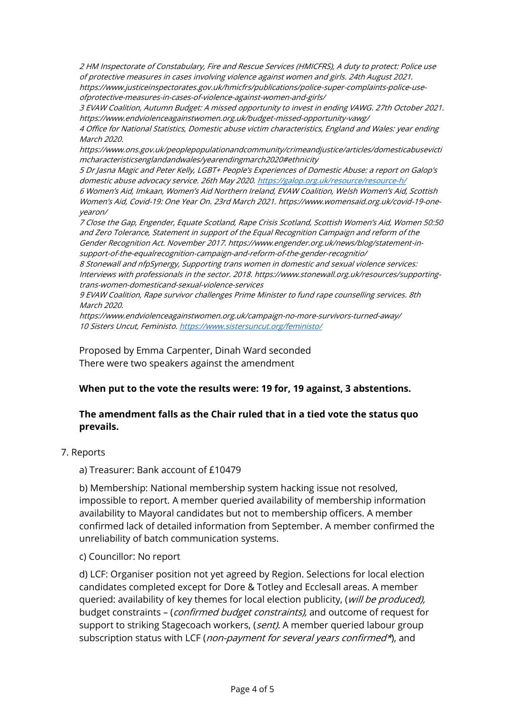2 HM Inspectorate of Constabulary, Fire and Rescue Services (HMICFRS), A duty to protect: Police use of protective measures in cases involving violence against women and girls. 24th August 2021. https://www.justiceinspectorates.gov.uk/hmicfrs/publications/police-super-complaints-police-useofprotective-measures-in-cases-of-violence-against-women-and-girls/

3 EVAW Coalition, Autumn Budget: A missed opportunity to invest in ending VAWG. 27th October 2021. https://www.endviolenceagainstwomen.org.uk/budget-missed-opportunity-vawg/

4 Office for National Statistics, Domestic abuse victim characteristics, England and Wales: year ending March 2020.

https://www.ons.gov.uk/peoplepopulationandcommunity/crimeandjustice/articles/domesticabusevicti mcharacteristicsenglandandwales/yearendingmarch2020#ethnicity

5 Dr Jasna Magic and Peter Kelly, LGBT+ People's Experiences of Domestic Abuse: a report on Galop's domestic abuse advocacy service. 26th May 2020.<https://galop.org.uk/resource/resource-h/>

6 Women's Aid, Imkaan, Women's Aid Northern Ireland, EVAW Coalition, Welsh Women's Aid, Scottish Women's Aid, Covid-19: One Year On. 23rd March 2021. https://www.womensaid.org.uk/covid-19-oneyearon/

7 Close the Gap, Engender, Equate Scotland, Rape Crisis Scotland, Scottish Women's Aid, Women 50:50 and Zero Tolerance, Statement in support of the Equal Recognition Campaign and reform of the Gender Recognition Act. November 2017. https://www.engender.org.uk/news/blog/statement-insupport-of-the-equalrecognition-campaign-and-reform-of-the-gender-recognitio/

8 Stonewall and nfpSynergy, Supporting trans women in domestic and sexual violence services: Interviews with professionals in the sector. 2018. https://www.stonewall.org.uk/resources/supportingtrans-women-domesticand-sexual-violence-services

9 EVAW Coalition, Rape survivor challenges Prime Minister to fund rape counselling services. 8th March 2020.

https://www.endviolenceagainstwomen.org.uk/campaign-no-more-survivors-turned-away/ 10 Sisters Uncut, Feministo.<https://www.sistersuncut.org/feministo/>

Proposed by Emma Carpenter, Dinah Ward seconded There were two speakers against the amendment

#### **When put to the vote the results were: 19 for, 19 against, 3 abstentions.**

## **The amendment falls as the Chair ruled that in a tied vote the status quo prevails.**

7. Reports

a) Treasurer: Bank account of £10479

b) Membership: National membership system hacking issue not resolved, impossible to report. A member queried availability of membership information availability to Mayoral candidates but not to membership officers. A member confirmed lack of detailed information from September. A member confirmed the unreliability of batch communication systems.

#### c) Councillor: No report

d) LCF: Organiser position not yet agreed by Region. Selections for local election candidates completed except for Dore & Totley and Ecclesall areas. A member queried: availability of key themes for local election publicity, (will be produced), budget constraints – (confirmed budget constraints), and outcome of request for support to striking Stagecoach workers, (sent). A member queried labour group subscription status with LCF (non-payment for several years confirmed\*), and